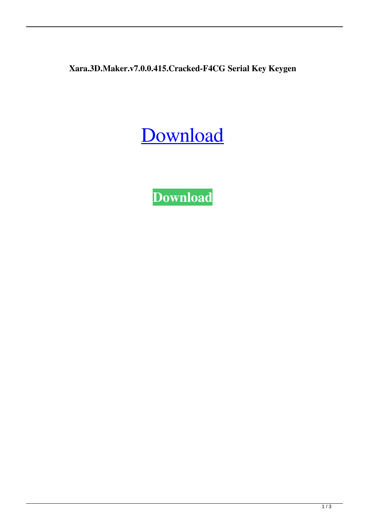**Xara.3D.Maker.v7.0.0.415.Cracked-F4CG Serial Key Keygen**

[Download](http://evacdir.com/WGFyYS4zRC5NYWtlci52Ny4wLjAuNDE1LkNyYWNrZWQtRjRDRyBTZXJpYWwgS2V5IEtleWdlbgWGF/?leaks=antiproliferation&shootout=/bierkellar/unintimidating/ZG93bmxvYWR8Q1MzTW1Gd05IeDhNVFkxTWpRMk16QTFNSHg4TWpVM05IeDhLRTBwSUhKbFlXUXRZbXh2WnlCYlJtRnpkQ0JIUlU1ZA/)

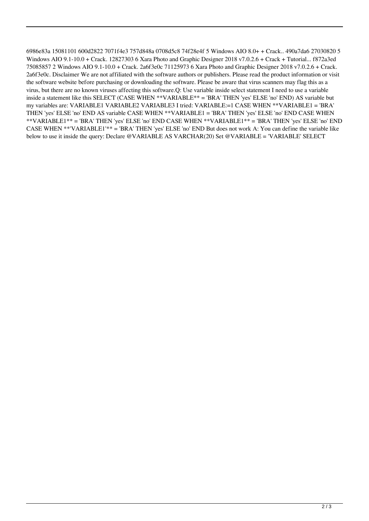6986e83a 15081101 600d2822 7071f4e3 757d848a 0708d5c8 74f28e4f 5 Windows AIO 8.0+ + Crack.. 490a7da6 27030820 5 Windows AIO 9.1-10.0 + Crack. 12827303 6 Xara Photo and Graphic Designer 2018 v7.0.2.6 + Crack + Tutorial... f872a3ed 75085857 2 Windows AIO 9.1-10.0 + Crack. 2a6f3e0c 71125973 6 Xara Photo and Graphic Designer 2018 v7.0.2.6 + Crack. 2a6f3e0c. Disclaimer We are not affiliated with the software authors or publishers. Please read the product information or visit the software website before purchasing or downloading the software. Please be aware that virus scanners may flag this as a virus, but there are no known viruses affecting this software.Q: Use variable inside select statement I need to use a variable inside a statement like this SELECT (CASE WHEN \*\*VARIABLE\*\* = 'BRA' THEN 'yes' ELSE 'no' END) AS variable but my variables are: VARIABLE1 VARIABLE2 VARIABLE3 I tried: VARIABLE:=1 CASE WHEN \*\*VARIABLE1 = 'BRA' THEN 'yes' ELSE 'no' END AS variable CASE WHEN \*\*VARIABLE1 = 'BRA' THEN 'yes' ELSE 'no' END CASE WHEN \*\*VARIABLE1\*\* = 'BRA' THEN 'yes' ELSE 'no' END CASE WHEN \*\*VARIABLE1\*\* = 'BRA' THEN 'yes' ELSE 'no' END CASE WHEN \*\*'VARIABLE1'\*\* = 'BRA' THEN 'yes' ELSE 'no' END But does not work A: You can define the variable like below to use it inside the query: Declare @VARIABLE AS VARCHAR(20) Set @VARIABLE = 'VARIABLE' SELECT